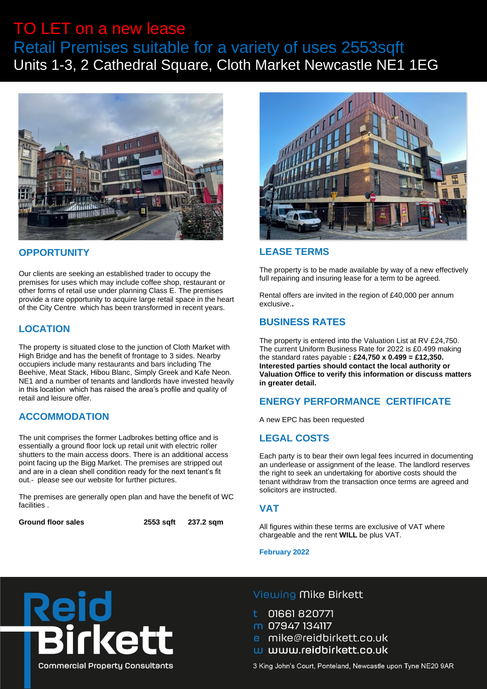# TO LET on a new lease Retail Premises suitable for a variety of uses 2553sqft Units 1-3, 2 Cathedral Square, Cloth Market Newcastle NE1 1EG



# **OPPORTUNITY**

Our clients are seeking an established trader to occupy the premises for uses which may include coffee shop, restaurant or other forms of retail use under planning Class E. The premises provide a rare opportunity to acquire large retail space in the heart of the City Centre which has been transformed in recent years.

# **LOCATION**

The property is situated close to the junction of Cloth Market with High Bridge and has the benefit of frontage to 3 sides. Nearby occupiers include many restaurants and bars including The Beehive, Meat Stack, Hibou Blanc, Simply Greek and Kafe Neon. NE1 and a number of tenants and landlords have invested heavily in this location which has raised the area's profile and quality of retail and leisure offer.

# **ACCOMMODATION**

The unit comprises the former Ladbrokes betting office and is essentially a ground floor lock up retail unit with electric roller shutters to the main access doors. There is an additional access point facing up the Bigg Market. The premises are stripped out and are in a clean shell condition ready for the next tenant's fit out.- please see our website for further pictures.

The premises are generally open plan and have the benefit of WC facilities .

**Ground floor sales 2553 sqft 237.2 sqm**



# **LEASE TERMS**

The property is to be made available by way of a new effectively full repairing and insuring lease for a term to be agreed.

Rental offers are invited in the region of £40,000 per annum exclusive.**.**

# **BUSINESS RATES**

The property is entered into the Valuation List at RV £24,750. The current Uniform Business Rate for 2022 is £0.499 making the standard rates payable **: £24,750 x 0.499 = £12,350. Interested parties should contact the local authority or Valuation Office to verify this information or discuss matters in greater detail.**

# **ENERGY PERFORMANCE CERTIFICATE**

A new EPC has been requested

# **LEGAL COSTS**

Each party is to bear their own legal fees incurred in documenting an underlease or assignment of the lease. The landlord reserves the right to seek an undertaking for abortive costs should the tenant withdraw from the transaction once terms are agreed and solicitors are instructed.

#### **VAT**

All figures within these terms are exclusive of VAT where chargeable and the rent **WILL** be plus VAT.

**February 2022**



# Viewing Mike Birkett

01661820771

m 07947 134117

- e mike@reidbirkett.co.uk
- w www.reidbirkett.co.uk

3 King John's Court, Ponteland, Newcastle upon Tyne NE20 9AR